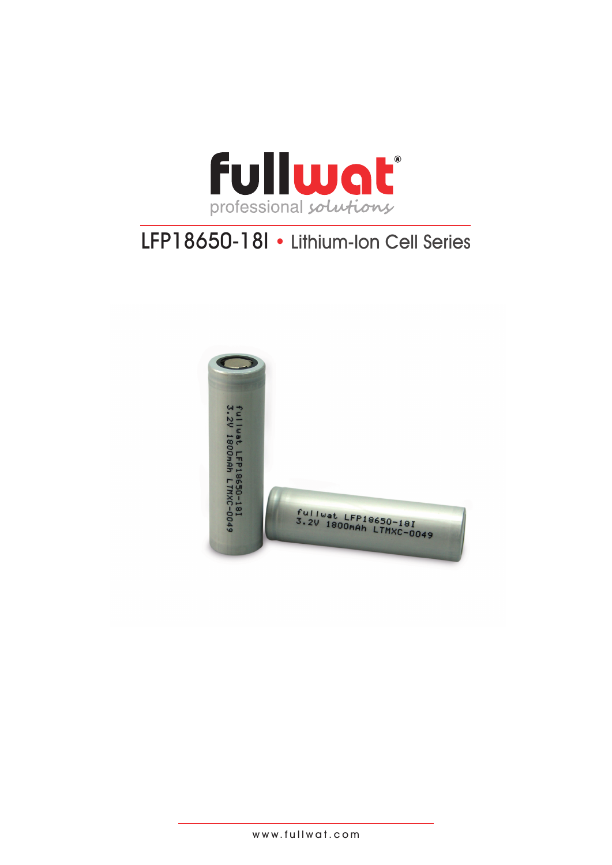

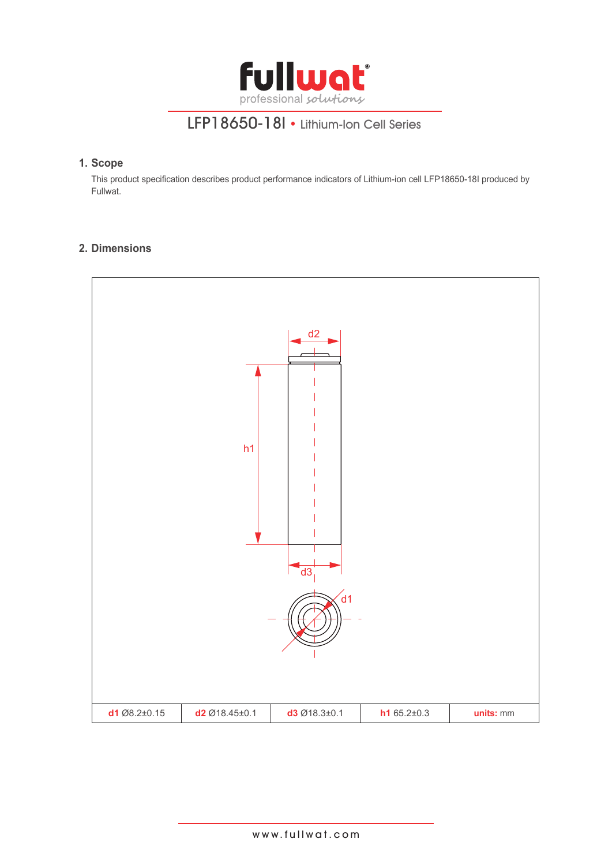

### **1. Scope**

This product specification describes product performance indicators of Lithium-ion cell LFP18650-18I produced by Fullwat.

### **2. Dimensions**

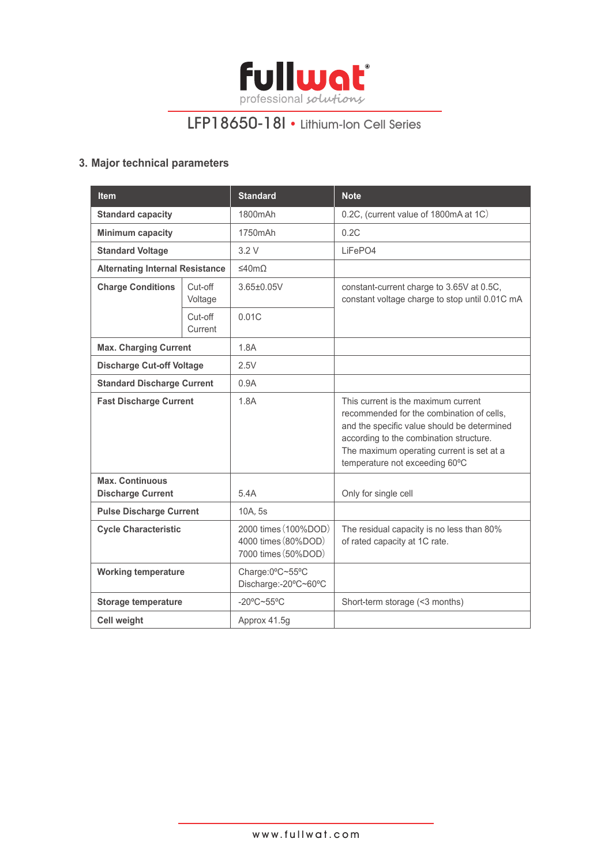

### **3. Major technical parameters**

| <b>Item</b>                                        |  | <b>Standard</b>                                                    | <b>Note</b>                                                                                                                                                                                                                                               |
|----------------------------------------------------|--|--------------------------------------------------------------------|-----------------------------------------------------------------------------------------------------------------------------------------------------------------------------------------------------------------------------------------------------------|
| <b>Standard capacity</b>                           |  | 1800mAh                                                            | 0.2C, (current value of 1800mA at 1C)                                                                                                                                                                                                                     |
| <b>Minimum capacity</b>                            |  | 1750mAh                                                            | 0.2C                                                                                                                                                                                                                                                      |
| <b>Standard Voltage</b>                            |  | 3.2V                                                               | LiFePO4                                                                                                                                                                                                                                                   |
| <b>Alternating Internal Resistance</b>             |  | ≤40mΩ                                                              |                                                                                                                                                                                                                                                           |
| <b>Charge Conditions</b><br>Cut-off<br>Voltage     |  | 3.65±0.05V                                                         | constant-current charge to 3.65V at 0.5C,<br>constant voltage charge to stop until 0.01C mA                                                                                                                                                               |
| Cut-off<br>Current                                 |  | 0.01C                                                              |                                                                                                                                                                                                                                                           |
| <b>Max. Charging Current</b>                       |  | 1.8A                                                               |                                                                                                                                                                                                                                                           |
| <b>Discharge Cut-off Voltage</b>                   |  | 2.5V                                                               |                                                                                                                                                                                                                                                           |
| <b>Standard Discharge Current</b>                  |  | 0.9A                                                               |                                                                                                                                                                                                                                                           |
| <b>Fast Discharge Current</b>                      |  | 1.8A                                                               | This current is the maximum current<br>recommended for the combination of cells.<br>and the specific value should be determined<br>according to the combination structure.<br>The maximum operating current is set at a<br>temperature not exceeding 60°C |
| <b>Max. Continuous</b><br><b>Discharge Current</b> |  | 5.4A                                                               | Only for single cell                                                                                                                                                                                                                                      |
| <b>Pulse Discharge Current</b>                     |  | 10A, 5s                                                            |                                                                                                                                                                                                                                                           |
| <b>Cycle Characteristic</b>                        |  | 2000 times (100%DOD)<br>4000 times (80%DOD)<br>7000 times (50%DOD) | The residual capacity is no less than 80%<br>of rated capacity at 1C rate.                                                                                                                                                                                |
| <b>Working temperature</b>                         |  | Charge:0°C~55°C<br>Discharge:-20°C~60°C                            |                                                                                                                                                                                                                                                           |
| <b>Storage temperature</b>                         |  | $-20^{\circ}$ C~55°C                                               | Short-term storage (<3 months)                                                                                                                                                                                                                            |
| <b>Cell weight</b>                                 |  | Approx 41.5g                                                       |                                                                                                                                                                                                                                                           |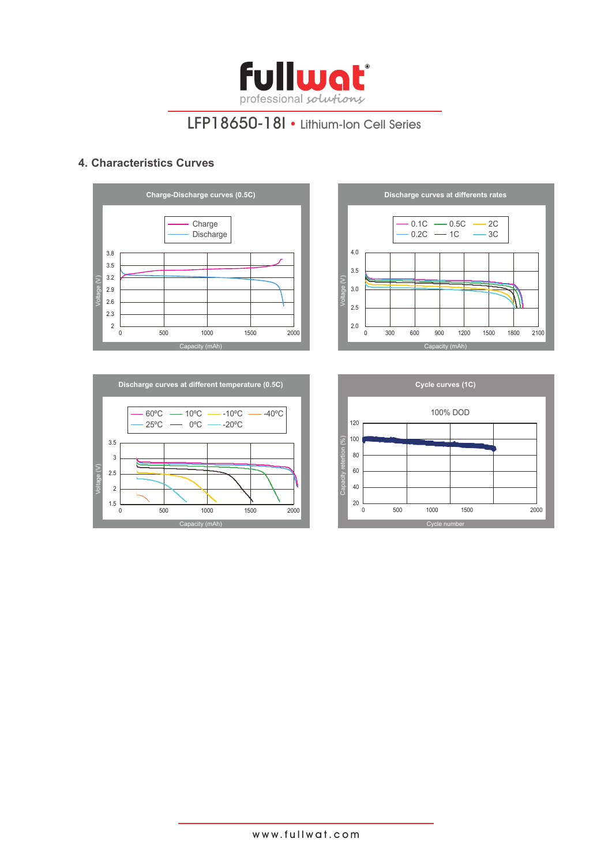

### **4. Characteristics Curves**







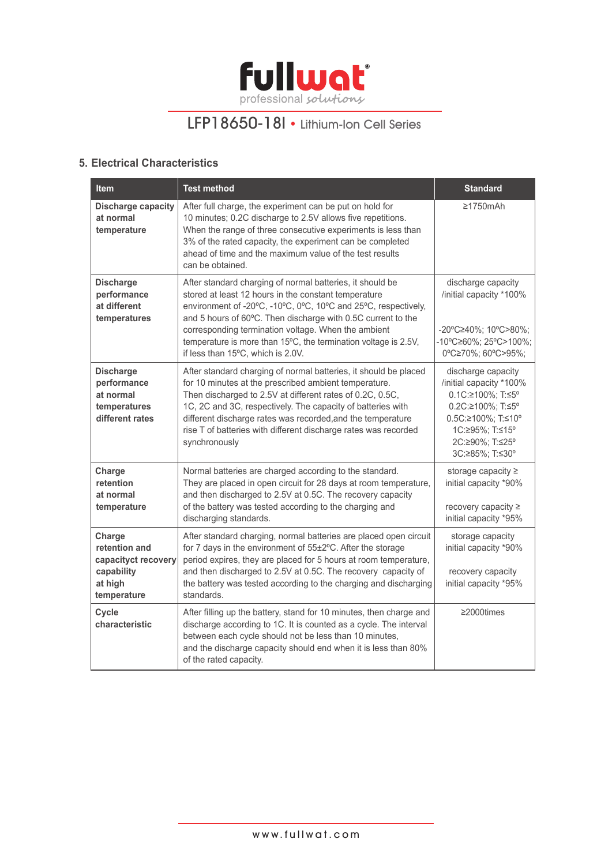

### **5. Electrical Characteristics**

| <b>Item</b>                                                                            | <b>Test method</b>                                                                                                                                                                                                                                                                                                                                                                                                 | <b>Standard</b>                                                                                                                                                        |
|----------------------------------------------------------------------------------------|--------------------------------------------------------------------------------------------------------------------------------------------------------------------------------------------------------------------------------------------------------------------------------------------------------------------------------------------------------------------------------------------------------------------|------------------------------------------------------------------------------------------------------------------------------------------------------------------------|
| <b>Discharge capacity</b><br>at normal<br>temperature                                  | After full charge, the experiment can be put on hold for<br>10 minutes; 0.2C discharge to 2.5V allows five repetitions.<br>When the range of three consecutive experiments is less than<br>3% of the rated capacity, the experiment can be completed<br>ahead of time and the maximum value of the test results<br>can be obtained.                                                                                | $\geq$ 1750mAh                                                                                                                                                         |
| <b>Discharge</b><br>performance<br>at different<br>temperatures                        | After standard charging of normal batteries, it should be<br>stored at least 12 hours in the constant temperature<br>environment of -20°C, -10°C, 0°C, 10°C and 25°C, respectively,<br>and 5 hours of 60°C. Then discharge with 0.5C current to the<br>corresponding termination voltage. When the ambient<br>temperature is more than 15°C, the termination voltage is 2.5V,<br>if less than 15°C, which is 2.0V. | discharge capacity<br>/initial capacity *100%<br>-20°C≥40%; 10°C>80%;<br>-10°C≥60%; 25°C>100%;<br>0°C≥70%; 60°C>95%;                                                   |
| <b>Discharge</b><br>performance<br>at normal<br>temperatures<br>different rates        | After standard charging of normal batteries, it should be placed<br>for 10 minutes at the prescribed ambient temperature.<br>Then discharged to 2.5V at different rates of 0.2C, 0.5C,<br>1C, 2C and 3C, respectively. The capacity of batteries with<br>different discharge rates was recorded, and the temperature<br>rise T of batteries with different discharge rates was recorded<br>synchronously           | discharge capacity<br>/initial capacity *100%<br>0.1C:≥100%; T:≤5°<br>0.2C:≥100%; T:≤5°<br>0.5C:≥100%; T:≤10°<br>1C:≥95%; T:≤15°<br>2C:≥90%; T:≤25°<br>3C:≥85%; T:≤30° |
| Charge<br>retention<br>at normal<br>temperature                                        | Normal batteries are charged according to the standard.<br>They are placed in open circuit for 28 days at room temperature,<br>and then discharged to 2.5V at 0.5C. The recovery capacity<br>of the battery was tested according to the charging and<br>discharging standards.                                                                                                                                     | storage capacity ≥<br>initial capacity *90%<br>recovery capacity ≥<br>initial capacity *95%                                                                            |
| Charge<br>retention and<br>capacityct recovery<br>capability<br>at high<br>temperature | After standard charging, normal batteries are placed open circuit<br>for 7 days in the environment of 55±2°C. After the storage<br>period expires, they are placed for 5 hours at room temperature,<br>and then discharged to 2.5V at 0.5C. The recovery capacity of<br>the battery was tested according to the charging and discharging<br>standards.                                                             | storage capacity<br>initial capacity *90%<br>recovery capacity<br>initial capacity *95%                                                                                |
| Cycle<br>characteristic                                                                | After filling up the battery, stand for 10 minutes, then charge and<br>discharge according to 1C. It is counted as a cycle. The interval<br>between each cycle should not be less than 10 minutes,<br>and the discharge capacity should end when it is less than 80%<br>of the rated capacity.                                                                                                                     | ≥2000times                                                                                                                                                             |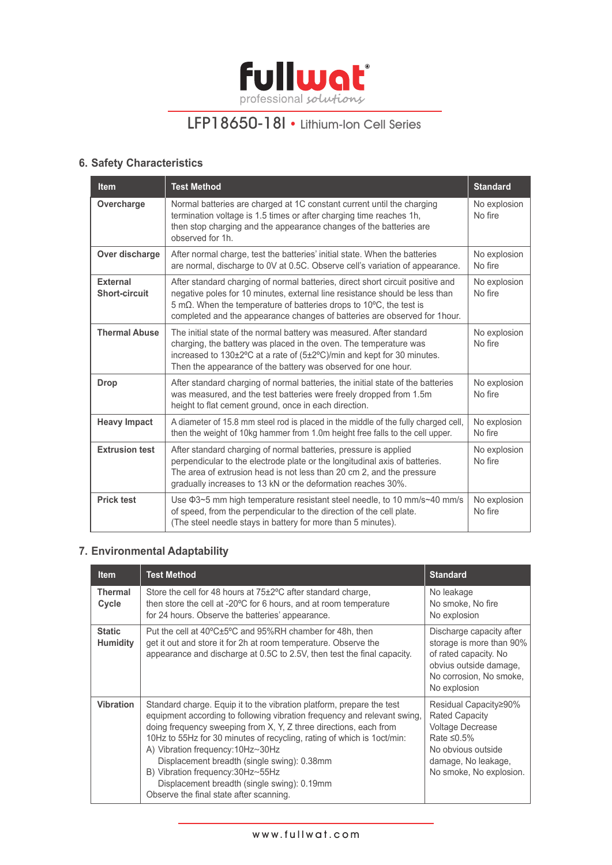

### **6. Safety Characteristics**

| <b>Item</b>                             | <b>Test Method</b>                                                                                                                                                                                                                                                                                                | <b>Standard</b>         |
|-----------------------------------------|-------------------------------------------------------------------------------------------------------------------------------------------------------------------------------------------------------------------------------------------------------------------------------------------------------------------|-------------------------|
| Overcharge                              | Normal batteries are charged at 1C constant current until the charging<br>termination voltage is 1.5 times or after charging time reaches 1h,<br>then stop charging and the appearance changes of the batteries are<br>observed for 1h.                                                                           | No explosion<br>No fire |
| Over discharge                          | After normal charge, test the batteries' initial state. When the batteries<br>are normal, discharge to 0V at 0.5C. Observe cell's variation of appearance.                                                                                                                                                        | No explosion<br>No fire |
| <b>External</b><br><b>Short-circuit</b> | After standard charging of normal batteries, direct short circuit positive and<br>negative poles for 10 minutes, external line resistance should be less than<br>5 mΩ. When the temperature of batteries drops to 10°C, the test is<br>completed and the appearance changes of batteries are observed for 1 hour. | No explosion<br>No fire |
| <b>Thermal Abuse</b>                    | The initial state of the normal battery was measured. After standard<br>charging, the battery was placed in the oven. The temperature was<br>increased to 130±2°C at a rate of (5±2°C)/min and kept for 30 minutes.<br>Then the appearance of the battery was observed for one hour.                              | No explosion<br>No fire |
| <b>Drop</b>                             | After standard charging of normal batteries, the initial state of the batteries<br>was measured, and the test batteries were freely dropped from 1.5m<br>height to flat cement ground, once in each direction.                                                                                                    | No explosion<br>No fire |
| <b>Heavy Impact</b>                     | A diameter of 15.8 mm steel rod is placed in the middle of the fully charged cell,<br>then the weight of 10kg hammer from 1.0m height free falls to the cell upper.                                                                                                                                               | No explosion<br>No fire |
| <b>Extrusion test</b>                   | After standard charging of normal batteries, pressure is applied<br>perpendicular to the electrode plate or the longitudinal axis of batteries.<br>The area of extrusion head is not less than 20 cm 2, and the pressure<br>gradually increases to 13 kN or the deformation reaches 30%.                          | No explosion<br>No fire |
| <b>Prick test</b>                       | Use $\Phi$ 3~5 mm high temperature resistant steel needle, to 10 mm/s~40 mm/s<br>of speed, from the perpendicular to the direction of the cell plate.<br>(The steel needle stays in battery for more than 5 minutes).                                                                                             | No explosion<br>No fire |

### **7. Environmental Adaptability**

| <b>Item</b>                      | <b>Test Method</b>                                                                                                                                                                                                                                                                                                                                                                                                                                                                                                  | <b>Standard</b>                                                                                                                                                        |
|----------------------------------|---------------------------------------------------------------------------------------------------------------------------------------------------------------------------------------------------------------------------------------------------------------------------------------------------------------------------------------------------------------------------------------------------------------------------------------------------------------------------------------------------------------------|------------------------------------------------------------------------------------------------------------------------------------------------------------------------|
| <b>Thermal</b><br>Cycle          | Store the cell for 48 hours at 75±2°C after standard charge,<br>then store the cell at -20°C for 6 hours, and at room temperature<br>for 24 hours. Observe the batteries' appearance.                                                                                                                                                                                                                                                                                                                               | No leakage<br>No smoke, No fire<br>No explosion                                                                                                                        |
| <b>Static</b><br><b>Humidity</b> | Put the cell at 40°C±5°C and 95%RH chamber for 48h, then<br>get it out and store it for 2h at room temperature. Observe the<br>appearance and discharge at 0.5C to 2.5V, then test the final capacity.                                                                                                                                                                                                                                                                                                              | Discharge capacity after<br>storage is more than 90%<br>of rated capacity. No<br>obvius outside damage,<br>No corrosion, No smoke,<br>No explosion                     |
| <b>Vibration</b>                 | Standard charge. Equip it to the vibration platform, prepare the test<br>equipment according to following vibration frequency and relevant swing,<br>doing frequency sweeping from X, Y, Z three directions, each from<br>10Hz to 55Hz for 30 minutes of recycling, rating of which is 1oct/min:<br>A) Vibration frequency: 10Hz~30Hz<br>Displacement breadth (single swing): 0.38mm<br>B) Vibration frequency: 30Hz~55Hz<br>Displacement breadth (single swing): 0.19mm<br>Observe the final state after scanning. | Residual Capacity≥90%<br><b>Rated Capacity</b><br><b>Voltage Decrease</b><br>Rate $\leq 0.5\%$<br>No obvious outside<br>damage, No leakage,<br>No smoke, No explosion. |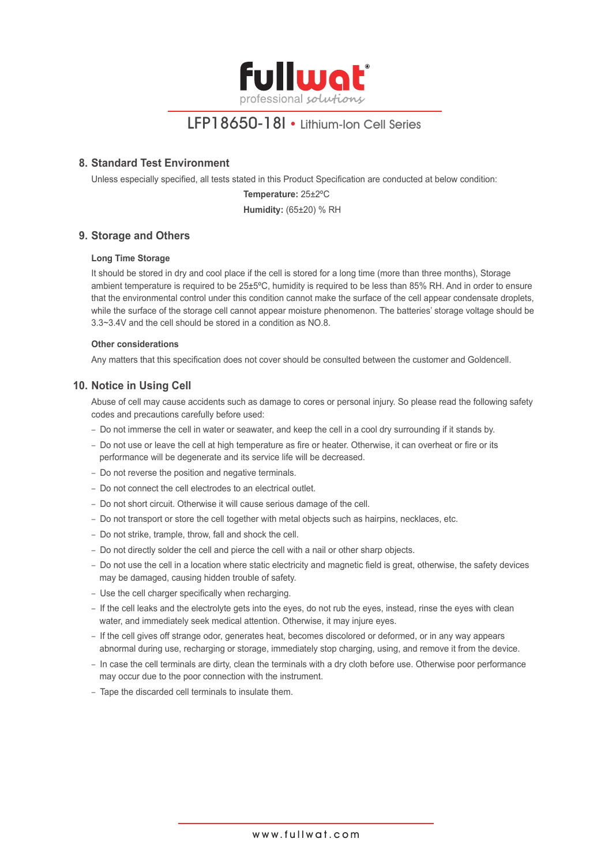

#### **8. Standard Test Environment**

Unless especially specified, all tests stated in this Product Specification are conducted at below condition:

**Temperature:** 25±2ºC **Humidity:** (65±20) % RH

#### **9. Storage and Others**

#### **Long Time Storage**

It should be stored in dry and cool place if the cell is stored for a long time (more than three months), Storage ambient temperature is required to be 25±5ºC, humidity is required to be less than 85% RH. And in order to ensure that the environmental control under this condition cannot make the surface of the cell appear condensate droplets, while the surface of the storage cell cannot appear moisture phenomenon. The batteries' storage voltage should be 3.3~3.4V and the cell should be stored in a condition as NO.8.

#### **Other considerations**

Any matters that this specification does not cover should be consulted between the customer and Goldencell.

#### **10. Notice in Using Cell**

Abuse of cell may cause accidents such as damage to cores or personal injury. So please read the following safety codes and precautions carefully before used:

- Do not immerse the cell in water or seawater, and keep the cell in a cool dry surrounding if it stands by.
- Do not use or leave the cell at high temperature as fire or heater. Otherwise, it can overheat or fire or its performance will be degenerate and its service life will be decreased.
- Do not reverse the position and negative terminals.
- Do not connect the cell electrodes to an electrical outlet.
- Do not short circuit. Otherwise it will cause serious damage of the cell.
- Do not transport or store the cell together with metal objects such as hairpins, necklaces, etc.
- Do not strike, trample, throw, fall and shock the cell.
- Do not directly solder the cell and pierce the cell with a nail or other sharp objects.
- Do not use the cell in a location where static electricity and magnetic field is great, otherwise, the safety devices may be damaged, causing hidden trouble of safety.
- Use the cell charger specifically when recharging.
- If the cell leaks and the electrolyte gets into the eyes, do not rub the eyes, instead, rinse the eyes with clean water, and immediately seek medical attention. Otherwise, it may injure eyes.
- If the cell gives off strange odor, generates heat, becomes discolored or deformed, or in any way appears abnormal during use, recharging or storage, immediately stop charging, using, and remove it from the device.
- In case the cell terminals are dirty, clean the terminals with a dry cloth before use. Otherwise poor performance may occur due to the poor connection with the instrument.
- Tape the discarded cell terminals to insulate them.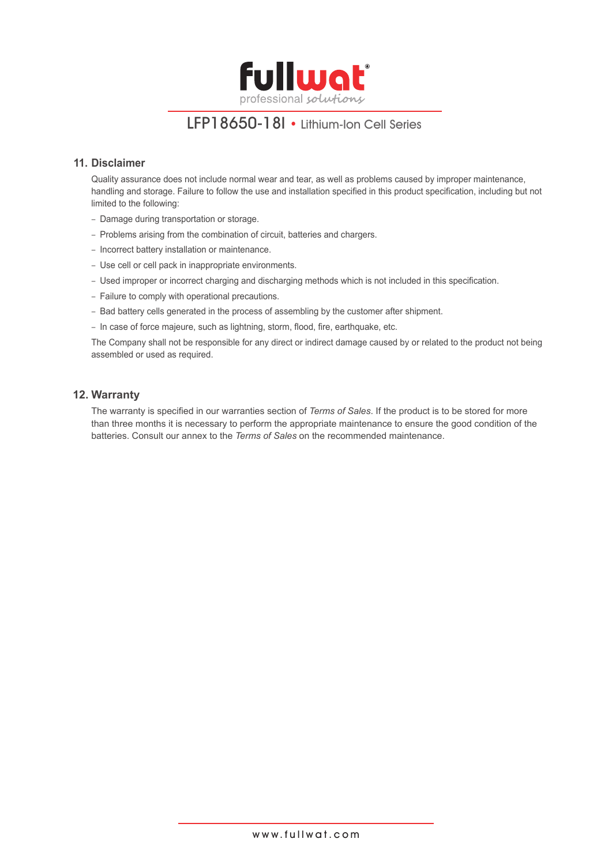

#### **11. Disclaimer**

Quality assurance does not include normal wear and tear, as well as problems caused by improper maintenance, handling and storage. Failure to follow the use and installation specified in this product specification, including but not limited to the following:

- Damage during transportation or storage.
- Problems arising from the combination of circuit, batteries and chargers.
- Incorrect battery installation or maintenance.
- Use cell or cell pack in inappropriate environments.
- Used improper or incorrect charging and discharging methods which is not included in this specification.
- Failure to comply with operational precautions.
- Bad battery cells generated in the process of assembling by the customer after shipment.
- In case of force majeure, such as lightning, storm, flood, fire, earthquake, etc.

The Company shall not be responsible for any direct or indirect damage caused by or related to the product not being assembled or used as required.

#### **12. Warranty**

The warranty is specified in our warranties section of *Terms of Sales*. If the product is to be stored for more than three months it is necessary to perform the appropriate maintenance to ensure the good condition of the batteries. Consult our annex to the *Terms of Sales* on the recommended maintenance.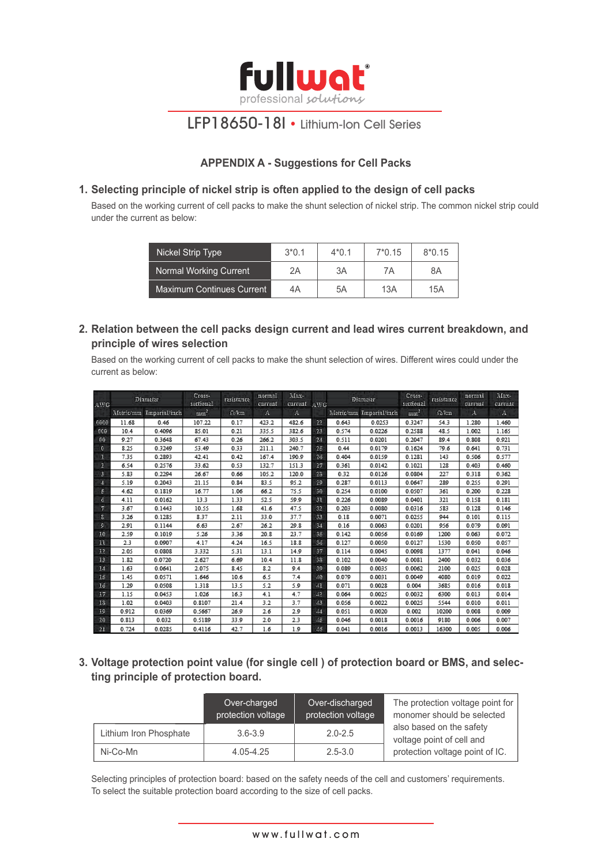

### **APPENDIX A - Suggestions for Cell Packs**

#### **1. Selecting principle of nickel strip is often applied to the design of cell packs**

Based on the working current of cell packs to make the shunt selection of nickel strip. The common nickel strip could under the current as below:

| Nickel Strip Type         | $3*0.1$ | $4*0.1$ | $7*0.15$ | $8*0.15$ |
|---------------------------|---------|---------|----------|----------|
| Normal Working Current    | 2Α      | 3A      | 7Α       | 8Α       |
| Maximum Continues Current | 4Α      | 5A      | 13A      | 15A      |

#### **2. Relation between the cell packs design current and lead wires current breakdown, and principle of wires selection**

Based on the working current of cell packs to make the shunt selection of wires. Different wires could under the current as below:

| AWG            |       | Diametar                | Cross-<br>sectional | rasistance  | normal<br>current | Max-<br>current AWG |    |       | Diamater                | Cross-<br>sectional | rasistance  | normal<br>current | Max-<br>current |
|----------------|-------|-------------------------|---------------------|-------------|-------------------|---------------------|----|-------|-------------------------|---------------------|-------------|-------------------|-----------------|
|                |       | Metric/mm Imperial/inch | mm <sup>2</sup>     | $\Omega$ km | А                 | A                   |    |       | Metric/mm Imperial/inch | $n =$ <sup>2</sup>  | $\Omega$ km | $\mathbf{A}$      | A               |
| 0600           | 11.68 | 0.46                    | 107.22              | 0.17        | 423.2             | 482.6               | 22 | 0.643 | 0.0253                  | 0.3247              | 54.3        | 1.280             | 1.460           |
| 000            | 10.4  | 0.4096                  | 85.01               | 0.21        | 335.5             | 382.6               | 23 | 0.574 | 0.0226                  | 0.2588              | 48.5        | 1.002             | 1.165           |
| 00             | 9.27  | 0.3648                  | 67.43               | 0.26        | 266.2             | 303.5               | 24 | 0.511 | 0.0201                  | 0.2047              | 89.4        | 0.808             | 0.921           |
| $\mathbf{C}$   | 8.25  | 0.3249                  | 53.49               | 0.33        | 211.1             | 240.7               | 25 | 0.44  | 0.0179                  | 0.1624              | 79.6        | 0.641             | 0.731           |
| - 1            | 7.35  | 0.2893                  | 42.41               | 0.42        | 167.4             | 190.9               | 24 | 0.404 | 0.0159                  | 0.1281              | 143         | 0.506             | 0.577           |
| 2              | 6.54  | 0.2576                  | 33.62               | 0.53        | 132.7             | 151.3               | 27 | 0.361 | 0.0142                  | 0.1021              | 128         | 0.403             | 0.460           |
| з              | 5.83  | 0.2294                  | 26.67               | 0.66        | 105.2             | 120.0               | 23 | 0.32  | 0.0126                  | 0.0804              | 227         | 0.318             | 0.362           |
| $\overline{4}$ | 5.19  | 0.2043                  | 21.15               | 0.84        | 83.5              | 95.2                | 29 | 0.287 | 0.0113                  | 0.0647              | 289         | 0.255             | 0.291           |
| п              | 4.62  | 0.1819                  | 16.77               | 1.06        | 66.2              | 75.5                | 30 | 0.254 | 0.0100                  | 0.0507              | 361         | 0.200             | 0.228           |
| đ              | 4.11  | 0.0162                  | 13.3                | 1.33        | 52.5              | 59.9                | 31 | 0.226 | 0.0089                  | 0.0401              | 321         | 0.158             | 0.181           |
| 7              | 3.67  | 0.1443                  | 10.55               | 1.68        | 41.6              | 47.5                | 32 | 0.203 | 0.0080                  | 0.0316              | 583         | 0.128             | 0.146           |
| 8              | 3.26  | 0.1285                  | 8.37                | 2.11        | 33.0              | 37.7                | 33 | 0.18  | 0.0071                  | 0.0255              | 944         | 0.101             | 0.115           |
| ø              | 2.91  | 0.1144                  | 6.63                | 2.67        | 26.2              | 29.8                | 34 | 0.16  | 0.0063                  | 0.0201              | 956         | 0.079             | 0.091           |
| 10             | 2.59  | 0.1019                  | 5.26                | 3.36        | 20.8              | 23.7                | 35 | 0.142 | 0.0056                  | 0.0169              | 1200        | 0.063             | 0.072           |
| п              | 2.3   | 0.0907                  | 4.17                | 4.24        | 16.5              | 18.8                | 35 | 0.127 | 0.0050                  | 0.0127              | 1530        | 0.050             | 0.057           |
| 13             | 2.05  | 0.0808                  | 3.332               | 5.31        | 13.1              | 14.9                | 37 | 0.114 | 0.0045                  | 0.0098              | 1377        | 0.041             | 0.046           |
| 13             | 1.82  | 0.0720                  | 2.627               | 6.69        | 10.4              | 11.8                | 33 | 0.102 | 0.0040                  | 0.0081              | 2400        | 0.032             | 0.036           |
| 14             | 1.63  | 0.0641                  | 2.075               | 8.45        | 8.2               | 9.4                 | 39 | 0.089 | 0.0035                  | 0.0062              | 2100        | 0.025             | 0.028           |
| I5             | 1.45  | 0.0571                  | 1.646               | 10.6        | 6.5               | 7.4                 | A0 | 0.079 | 0.0031                  | 0.0049              | 4080        | 0.019             | 0.022           |
| Lő             | 1.29  | 0.0508                  | 1.318               | 13.5        | 5.2               | 5.9                 | ИI | 0.071 | 0.0028                  | 0.004               | 3685        | 0.016             | 0.018           |
| 17             | 1.15  | 0.0453                  | 1.026               | 16.3        | 4.1               | 4.7                 | 43 | 0.064 | 0.0025                  | 0.0032              | 6300        | 0.013             | 0.014           |
| 13             | 1.02  | 0.0403                  | 0.8107              | 21.4        | 3.2               | 3.7                 | 43 | 0.056 | 0.0022                  | 0.0025              | 5544        | 0.010             | 0.011           |
| 19             | 0.912 | 0.0369                  | 0.5667              | 26.9        | 2.6               | 2.9                 | 44 | 0.051 | 0.0020                  | 0.002               | 10200       | 0.008             | 0.009           |
| 20             | 0.813 | 0.032                   | 0.5189              | 33.9        | 2.0               | 2.3                 | 45 | 0.046 | 0.0018                  | 0.0016              | 9180        | 0.006             | 0.007           |
| $-21$          | 0.724 | 0.0285                  | 0.4116              | 42.7        | 1.6               | 1.9                 | 46 | 0.041 | 0.0016                  | 0.0013              | 16300       | 0.005             | 0.006           |

 **3. Voltage protection point value (for single cell ) of protection board or BMS, and selecting principle of protection board.**

|                        | Over-charged<br>protection voltage | Over-discharged<br>protection voltage | The protection voltage point for<br>monomer should be selected |  |  |
|------------------------|------------------------------------|---------------------------------------|----------------------------------------------------------------|--|--|
| Lithium Iron Phosphate | $3.6 - 3.9$                        | $2.0 - 2.5$                           | also based on the safety<br>voltage point of cell and          |  |  |
| Ni-Co-Mn               | 4.05-4.25                          | $2.5 - 3.0$                           | protection voltage point of IC.                                |  |  |

Selecting principles of protection board: based on the safety needs of the cell and customers' requirements. To select the suitable protection board according to the size of cell packs.